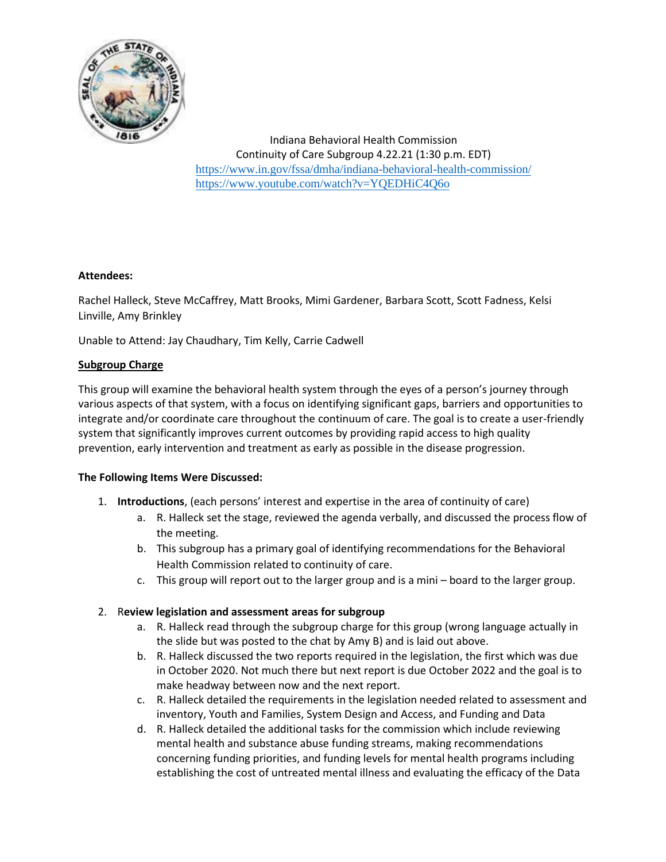

## **Attendees:**

Rachel Halleck, Steve McCaffrey, Matt Brooks, Mimi Gardener, Barbara Scott, Scott Fadness, Kelsi Linville, Amy Brinkley

Unable to Attend: Jay Chaudhary, Tim Kelly, Carrie Cadwell

## **Subgroup Charge**

This group will examine the behavioral health system through the eyes of a person's journey through various aspects of that system, with a focus on identifying significant gaps, barriers and opportunities to integrate and/or coordinate care throughout the continuum of care. The goal is to create a user-friendly system that significantly improves current outcomes by providing rapid access to high quality prevention, early intervention and treatment as early as possible in the disease progression.

#### **The Following Items Were Discussed:**

- 1. **Introductions**, (each persons' interest and expertise in the area of continuity of care)
	- a. R. Halleck set the stage, reviewed the agenda verbally, and discussed the process flow of the meeting.
	- b. This subgroup has a primary goal of identifying recommendations for the Behavioral Health Commission related to continuity of care.
	- c. This group will report out to the larger group and is a mini board to the larger group.

# 2. R**eview legislation and assessment areas for subgroup**

- a. R. Halleck read through the subgroup charge for this group (wrong language actually in the slide but was posted to the chat by Amy B) and is laid out above.
- b. R. Halleck discussed the two reports required in the legislation, the first which was due in October 2020. Not much there but next report is due October 2022 and the goal is to make headway between now and the next report.
- c. R. Halleck detailed the requirements in the legislation needed related to assessment and inventory, Youth and Families, System Design and Access, and Funding and Data
- d. R. Halleck detailed the additional tasks for the commission which include reviewing mental health and substance abuse funding streams, making recommendations concerning funding priorities, and funding levels for mental health programs including establishing the cost of untreated mental illness and evaluating the efficacy of the Data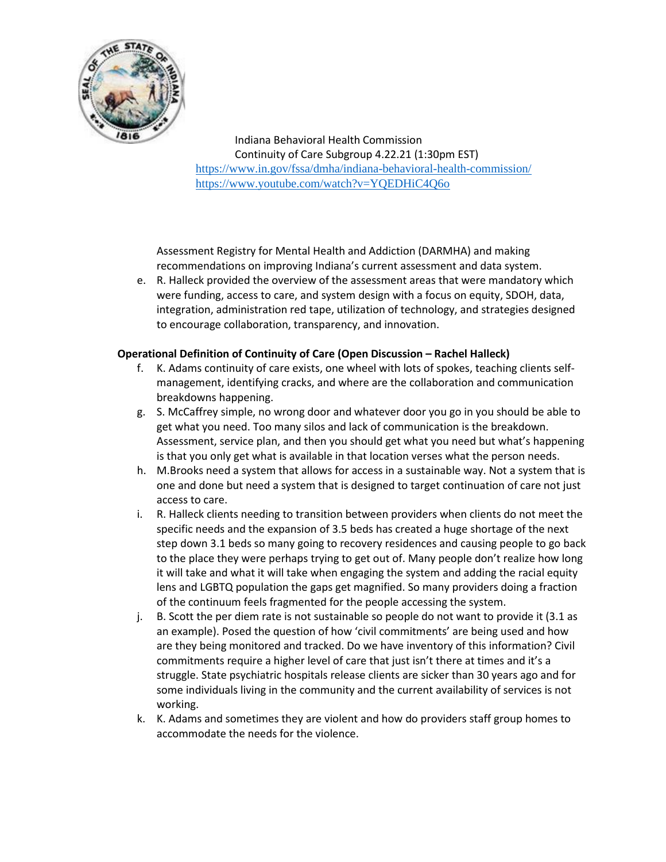

Assessment Registry for Mental Health and Addiction (DARMHA) and making recommendations on improving Indiana's current assessment and data system.

e. R. Halleck provided the overview of the assessment areas that were mandatory which were funding, access to care, and system design with a focus on equity, SDOH, data, integration, administration red tape, utilization of technology, and strategies designed to encourage collaboration, transparency, and innovation.

#### **Operational Definition of Continuity of Care (Open Discussion – Rachel Halleck)**

- f. K. Adams continuity of care exists, one wheel with lots of spokes, teaching clients selfmanagement, identifying cracks, and where are the collaboration and communication breakdowns happening.
- g. S. McCaffrey simple, no wrong door and whatever door you go in you should be able to get what you need. Too many silos and lack of communication is the breakdown. Assessment, service plan, and then you should get what you need but what's happening is that you only get what is available in that location verses what the person needs.
- h. M.Brooks need a system that allows for access in a sustainable way. Not a system that is one and done but need a system that is designed to target continuation of care not just access to care.
- i. R. Halleck clients needing to transition between providers when clients do not meet the specific needs and the expansion of 3.5 beds has created a huge shortage of the next step down 3.1 beds so many going to recovery residences and causing people to go back to the place they were perhaps trying to get out of. Many people don't realize how long it will take and what it will take when engaging the system and adding the racial equity lens and LGBTQ population the gaps get magnified. So many providers doing a fraction of the continuum feels fragmented for the people accessing the system.
- j. B. Scott the per diem rate is not sustainable so people do not want to provide it (3.1 as an example). Posed the question of how 'civil commitments' are being used and how are they being monitored and tracked. Do we have inventory of this information? Civil commitments require a higher level of care that just isn't there at times and it's a struggle. State psychiatric hospitals release clients are sicker than 30 years ago and for some individuals living in the community and the current availability of services is not working.
- k. K. Adams and sometimes they are violent and how do providers staff group homes to accommodate the needs for the violence.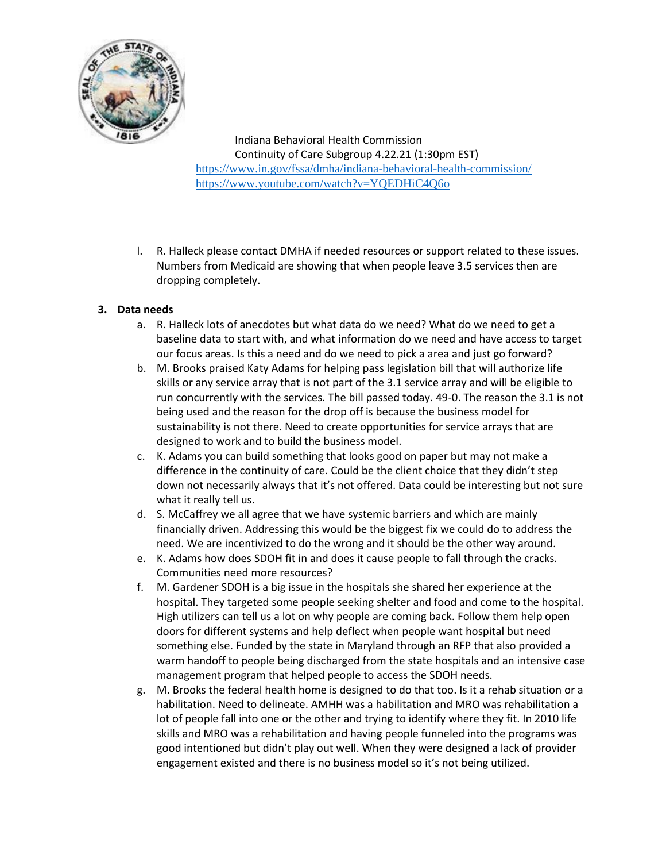

l. R. Halleck please contact DMHA if needed resources or support related to these issues. Numbers from Medicaid are showing that when people leave 3.5 services then are dropping completely.

## **3. Data needs**

- a. R. Halleck lots of anecdotes but what data do we need? What do we need to get a baseline data to start with, and what information do we need and have access to target our focus areas. Is this a need and do we need to pick a area and just go forward?
- b. M. Brooks praised Katy Adams for helping pass legislation bill that will authorize life skills or any service array that is not part of the 3.1 service array and will be eligible to run concurrently with the services. The bill passed today. 49-0. The reason the 3.1 is not being used and the reason for the drop off is because the business model for sustainability is not there. Need to create opportunities for service arrays that are designed to work and to build the business model.
- c. K. Adams you can build something that looks good on paper but may not make a difference in the continuity of care. Could be the client choice that they didn't step down not necessarily always that it's not offered. Data could be interesting but not sure what it really tell us.
- d. S. McCaffrey we all agree that we have systemic barriers and which are mainly financially driven. Addressing this would be the biggest fix we could do to address the need. We are incentivized to do the wrong and it should be the other way around.
- e. K. Adams how does SDOH fit in and does it cause people to fall through the cracks. Communities need more resources?
- f. M. Gardener SDOH is a big issue in the hospitals she shared her experience at the hospital. They targeted some people seeking shelter and food and come to the hospital. High utilizers can tell us a lot on why people are coming back. Follow them help open doors for different systems and help deflect when people want hospital but need something else. Funded by the state in Maryland through an RFP that also provided a warm handoff to people being discharged from the state hospitals and an intensive case management program that helped people to access the SDOH needs.
- g. M. Brooks the federal health home is designed to do that too. Is it a rehab situation or a habilitation. Need to delineate. AMHH was a habilitation and MRO was rehabilitation a lot of people fall into one or the other and trying to identify where they fit. In 2010 life skills and MRO was a rehabilitation and having people funneled into the programs was good intentioned but didn't play out well. When they were designed a lack of provider engagement existed and there is no business model so it's not being utilized.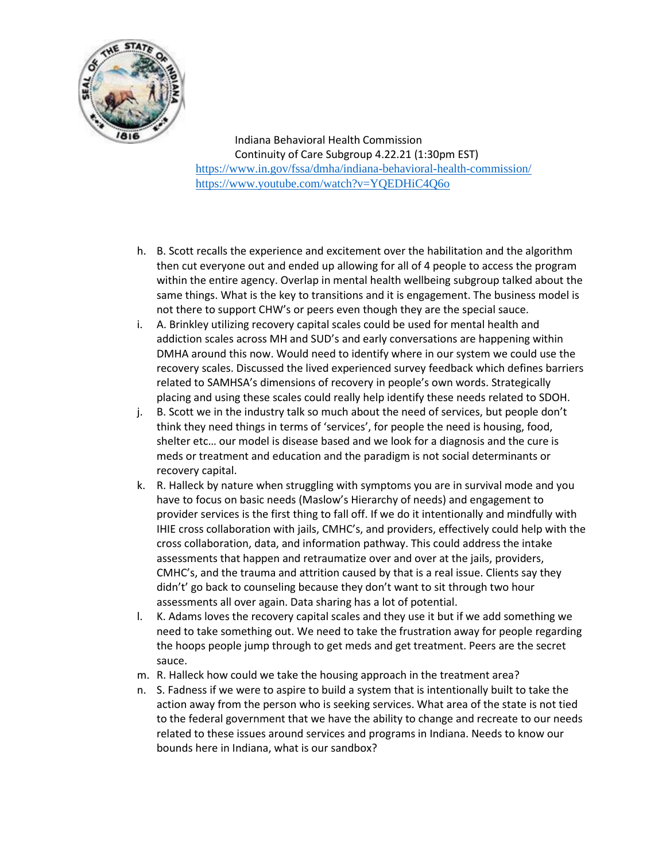

- h. B. Scott recalls the experience and excitement over the habilitation and the algorithm then cut everyone out and ended up allowing for all of 4 people to access the program within the entire agency. Overlap in mental health wellbeing subgroup talked about the same things. What is the key to transitions and it is engagement. The business model is not there to support CHW's or peers even though they are the special sauce.
- i. A. Brinkley utilizing recovery capital scales could be used for mental health and addiction scales across MH and SUD's and early conversations are happening within DMHA around this now. Would need to identify where in our system we could use the recovery scales. Discussed the lived experienced survey feedback which defines barriers related to SAMHSA's dimensions of recovery in people's own words. Strategically placing and using these scales could really help identify these needs related to SDOH.
- j. B. Scott we in the industry talk so much about the need of services, but people don't think they need things in terms of 'services', for people the need is housing, food, shelter etc… our model is disease based and we look for a diagnosis and the cure is meds or treatment and education and the paradigm is not social determinants or recovery capital.
- k. R. Halleck by nature when struggling with symptoms you are in survival mode and you have to focus on basic needs (Maslow's Hierarchy of needs) and engagement to provider services is the first thing to fall off. If we do it intentionally and mindfully with IHIE cross collaboration with jails, CMHC's, and providers, effectively could help with the cross collaboration, data, and information pathway. This could address the intake assessments that happen and retraumatize over and over at the jails, providers, CMHC's, and the trauma and attrition caused by that is a real issue. Clients say they didn't' go back to counseling because they don't want to sit through two hour assessments all over again. Data sharing has a lot of potential.
- l. K. Adams loves the recovery capital scales and they use it but if we add something we need to take something out. We need to take the frustration away for people regarding the hoops people jump through to get meds and get treatment. Peers are the secret sauce.
- m. R. Halleck how could we take the housing approach in the treatment area?
- n. S. Fadness if we were to aspire to build a system that is intentionally built to take the action away from the person who is seeking services. What area of the state is not tied to the federal government that we have the ability to change and recreate to our needs related to these issues around services and programs in Indiana. Needs to know our bounds here in Indiana, what is our sandbox?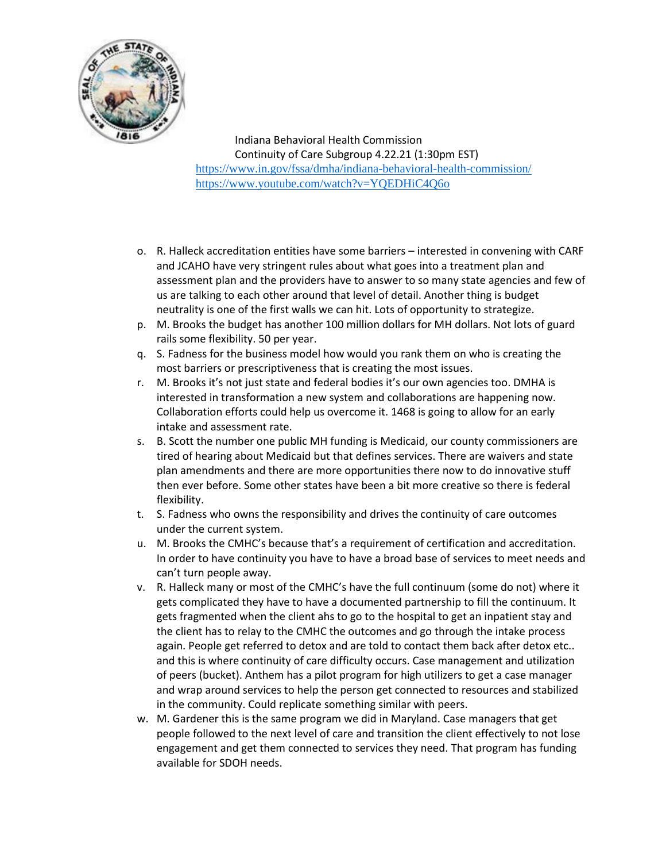

- o. R. Halleck accreditation entities have some barriers interested in convening with CARF and JCAHO have very stringent rules about what goes into a treatment plan and assessment plan and the providers have to answer to so many state agencies and few of us are talking to each other around that level of detail. Another thing is budget neutrality is one of the first walls we can hit. Lots of opportunity to strategize.
- p. M. Brooks the budget has another 100 million dollars for MH dollars. Not lots of guard rails some flexibility. 50 per year.
- q. S. Fadness for the business model how would you rank them on who is creating the most barriers or prescriptiveness that is creating the most issues.
- r. M. Brooks it's not just state and federal bodies it's our own agencies too. DMHA is interested in transformation a new system and collaborations are happening now. Collaboration efforts could help us overcome it. 1468 is going to allow for an early intake and assessment rate.
- s. B. Scott the number one public MH funding is Medicaid, our county commissioners are tired of hearing about Medicaid but that defines services. There are waivers and state plan amendments and there are more opportunities there now to do innovative stuff then ever before. Some other states have been a bit more creative so there is federal flexibility.
- t. S. Fadness who owns the responsibility and drives the continuity of care outcomes under the current system.
- u. M. Brooks the CMHC's because that's a requirement of certification and accreditation. In order to have continuity you have to have a broad base of services to meet needs and can't turn people away.
- v. R. Halleck many or most of the CMHC's have the full continuum (some do not) where it gets complicated they have to have a documented partnership to fill the continuum. It gets fragmented when the client ahs to go to the hospital to get an inpatient stay and the client has to relay to the CMHC the outcomes and go through the intake process again. People get referred to detox and are told to contact them back after detox etc.. and this is where continuity of care difficulty occurs. Case management and utilization of peers (bucket). Anthem has a pilot program for high utilizers to get a case manager and wrap around services to help the person get connected to resources and stabilized in the community. Could replicate something similar with peers.
- w. M. Gardener this is the same program we did in Maryland. Case managers that get people followed to the next level of care and transition the client effectively to not lose engagement and get them connected to services they need. That program has funding available for SDOH needs.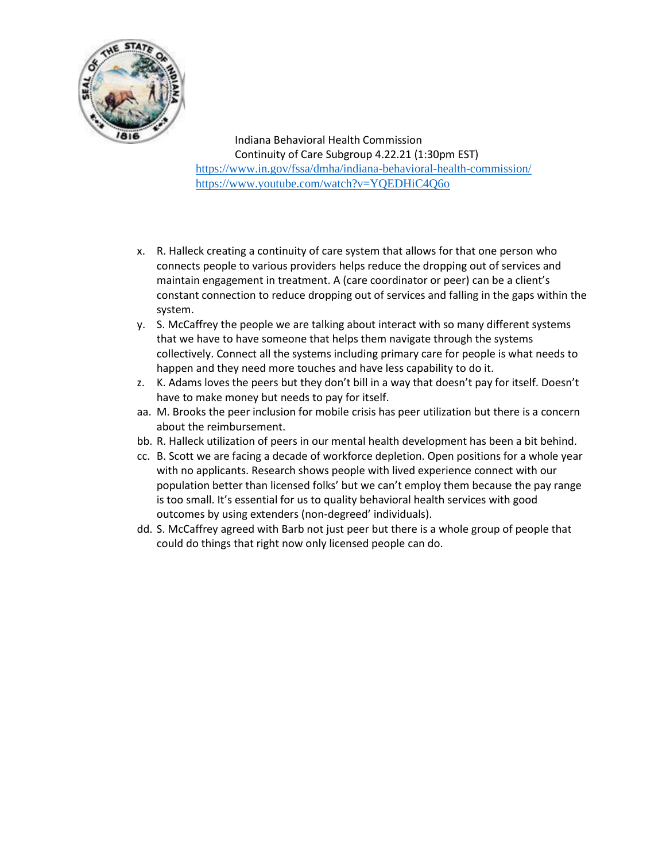

- x. R. Halleck creating a continuity of care system that allows for that one person who connects people to various providers helps reduce the dropping out of services and maintain engagement in treatment. A (care coordinator or peer) can be a client's constant connection to reduce dropping out of services and falling in the gaps within the system.
- y. S. McCaffrey the people we are talking about interact with so many different systems that we have to have someone that helps them navigate through the systems collectively. Connect all the systems including primary care for people is what needs to happen and they need more touches and have less capability to do it.
- z. K. Adams loves the peers but they don't bill in a way that doesn't pay for itself. Doesn't have to make money but needs to pay for itself.
- aa. M. Brooks the peer inclusion for mobile crisis has peer utilization but there is a concern about the reimbursement.
- bb. R. Halleck utilization of peers in our mental health development has been a bit behind.
- cc. B. Scott we are facing a decade of workforce depletion. Open positions for a whole year with no applicants. Research shows people with lived experience connect with our population better than licensed folks' but we can't employ them because the pay range is too small. It's essential for us to quality behavioral health services with good outcomes by using extenders (non-degreed' individuals).
- dd. S. McCaffrey agreed with Barb not just peer but there is a whole group of people that could do things that right now only licensed people can do.